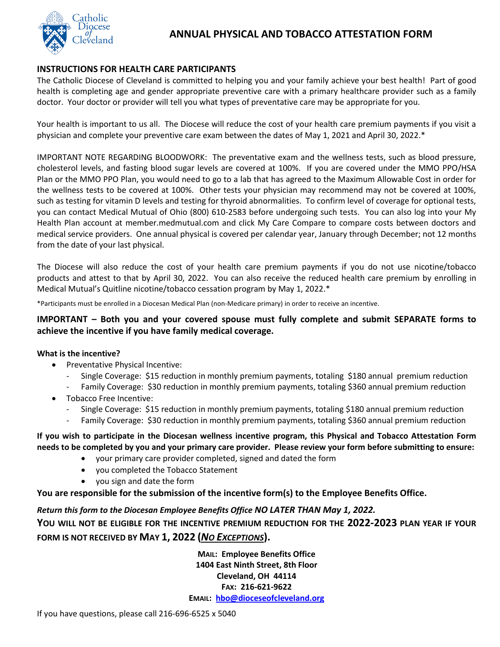

# **ANNUAL PHYSICAL AND TOBACCO ATTESTATION FORM**

### **INSTRUCTIONS FOR HEALTH CARE PARTICIPANTS**

The Catholic Diocese of Cleveland is committed to helping you and your family achieve your best health! Part of good health is completing age and gender appropriate preventive care with a primary healthcare provider such as a family doctor. Your doctor or provider will tell you what types of preventative care may be appropriate for you.

Your health is important to us all. The Diocese will reduce the cost of your health care premium payments if you visit a physician and complete your preventive care exam between the dates of May 1, 2021 and April 30, 2022.\*

IMPORTANT NOTE REGARDING BLOODWORK: The preventative exam and the wellness tests, such as blood pressure, cholesterol levels, and fasting blood sugar levels are covered at 100%. If you are covered under the MMO PPO/HSA Plan or the MMO PPO Plan, you would need to go to a lab that has agreed to the Maximum Allowable Cost in order for the wellness tests to be covered at 100%. Other tests your physician may recommend may not be covered at 100%, such as testing for vitamin D levels and testing for thyroid abnormalities. To confirm level of coverage for optional tests, you can contact Medical Mutual of Ohio (800) 610-2583 before undergoing such tests. You can also log into your My Health Plan account at member.medmutual.com and click My Care Compare to compare costs between doctors and medical service providers. One annual physical is covered per calendar year, January through December; not 12 months from the date of your last physical.

The Diocese will also reduce the cost of your health care premium payments if you do not use nicotine/tobacco products and attest to that by April 30, 2022. You can also receive the reduced health care premium by enrolling in Medical Mutual's Quitline nicotine/tobacco cessation program by May 1, 2022.\*

\*Participants must be enrolled in a Diocesan Medical Plan (non-Medicare primary) in order to receive an incentive.

## **IMPORTANT – Both you and your covered spouse must fully complete and submit SEPARATE forms to achieve the incentive if you have family medical coverage.**

### **What is the incentive?**

- Preventative Physical Incentive:
	- Single Coverage: \$15 reduction in monthly premium payments, totaling \$180 annual premium reduction
	- Family Coverage: \$30 reduction in monthly premium payments, totaling \$360 annual premium reduction
- Tobacco Free Incentive:
	- Single Coverage: \$15 reduction in monthly premium payments, totaling \$180 annual premium reduction
	- Family Coverage: \$30 reduction in monthly premium payments, totaling \$360 annual premium reduction

#### **If you wish to participate in the Diocesan wellness incentive program, this Physical and Tobacco Attestation Form needs to be completed by you and your primary care provider. Please review your form before submitting to ensure:**

- your primary care provider completed, signed and dated the form
- you completed the Tobacco Statement
- you sign and date the form

**You are responsible for the submission of the incentive form(s) to the Employee Benefits Office.**

## *Return this form to the Diocesan Employee Benefits Office NO LATER THAN May 1, 2022.*

**YOU WILL NOT BE ELIGIBLE FOR THE INCENTIVE PREMIUM REDUCTION FOR THE 2022-2023 PLAN YEAR IF YOUR FORM IS NOT RECEIVED BY MAY 1, 2022 (***NO EXCEPTIONS***).**

> **MAIL: Employee Benefits Office 1404 East Ninth Street, 8th Floor Cleveland, OH 44114 FAX: 216-621-9622 EMAIL: [hbo@dioceseofcleveland.org](mailto:hbo@dioceseofcleveland.org)**